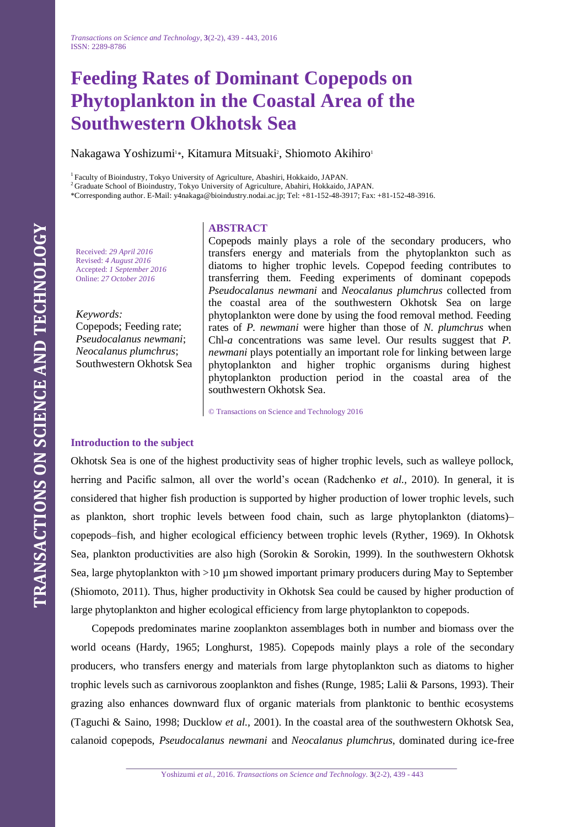# **Feeding Rates of Dominant Copepods on Phytoplankton in the Coastal Area of the Southwestern Okhotsk Sea**

Nakagawa Yoshizumi<sup>1</sup>\*, Kitamura Mitsuaki<sup>2</sup>, Shiomoto Akihiro<sup>1</sup>

<sup>1</sup> Faculty of Bioindustry, Tokyo University of Agriculture, Abashiri, Hokkaido, JAPAN.

<sup>2</sup> Graduate School of Bioindustry, Tokyo University of Agriculture, Abahiri, Hokkaido, JAPAN.

\*Corresponding author. E-Mail: y4nakaga@bioindustry.nodai.ac.jp; Tel: +81-152-48-3917; Fax: +81-152-48-3916.

## **ABSTRACT**

Received: *29 April 2016* Revised: *4 August 2016* Accepted: *1 September 2016* Online: *27 October 2016*

*Keywords:* Copepods; Feeding rate; *Pseudocalanus newmani*; *Neocalanus plumchrus*; Southwestern Okhotsk Sea Copepods mainly plays a role of the secondary producers, who transfers energy and materials from the phytoplankton such as diatoms to higher trophic levels. Copepod feeding contributes to transferring them. Feeding experiments of dominant copepods *Pseudocalanus newmani* and *Neocalanus plumchrus* collected from the coastal area of the southwestern Okhotsk Sea on large phytoplankton were done by using the food removal method. Feeding rates of *P. newmani* were higher than those of *N. plumchrus* when Chl-*a* concentrations was same level. Our results suggest that *P. newmani* plays potentially an important role for linking between large phytoplankton and higher trophic organisms during highest phytoplankton production period in the coastal area of the southwestern Okhotsk Sea.

© Transactions on Science and Technology 2016

# **Introduction to the subject**

Okhotsk Sea is one of the highest productivity seas of higher trophic levels, such as walleye pollock, herring and Pacific salmon, all over the world's ocean (Radchenko *et al.,* 2010). In general, it is considered that higher fish production is supported by higher production of lower trophic levels, such as plankton, short trophic levels between food chain, such as large phytoplankton (diatoms)– copepods–fish, and higher ecological efficiency between trophic levels (Ryther, 1969). In Okhotsk Sea, plankton productivities are also high (Sorokin & Sorokin, 1999). In the southwestern Okhotsk Sea, large phytoplankton with >10 µm showed important primary producers during May to September (Shiomoto, 2011). Thus, higher productivity in Okhotsk Sea could be caused by higher production of large phytoplankton and higher ecological efficiency from large phytoplankton to copepods.

Copepods predominates marine zooplankton assemblages both in number and biomass over the world oceans (Hardy, 1965; Longhurst, 1985). Copepods mainly plays a role of the secondary producers, who transfers energy and materials from large phytoplankton such as diatoms to higher trophic levels such as carnivorous zooplankton and fishes (Runge, 1985; Lalii & Parsons, 1993). Their grazing also enhances downward flux of organic materials from planktonic to benthic ecosystems (Taguchi & Saino, 1998; Ducklow *et al.,* 2001). In the coastal area of the southwestern Okhotsk Sea, calanoid copepods, *Pseudocalanus newmani* and *Neocalanus plumchrus*, dominated during ice-free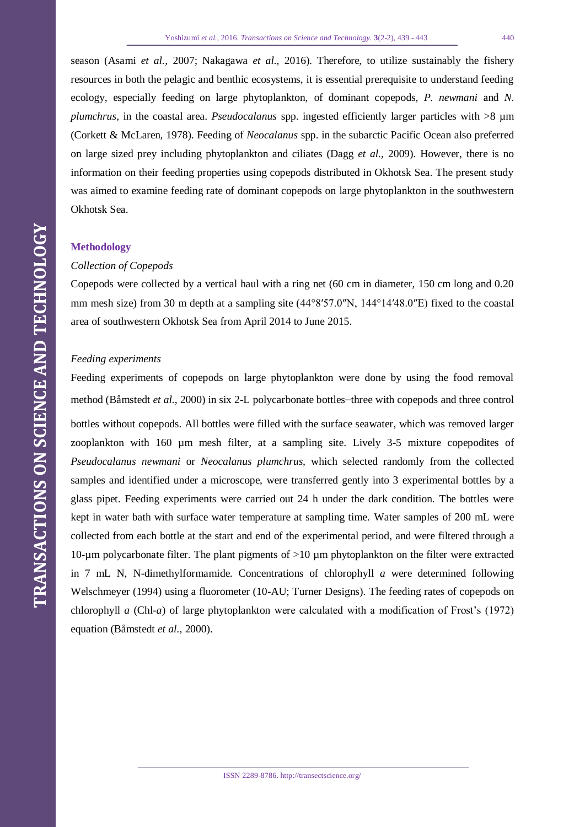season (Asami *et al.,* 2007; Nakagawa *et al.,* 2016). Therefore, to utilize sustainably the fishery resources in both the pelagic and benthic ecosystems, it is essential prerequisite to understand feeding ecology, especially feeding on large phytoplankton, of dominant copepods, *P. newmani* and *N. plumchrus*, in the coastal area. *Pseudocalanus* spp. ingested efficiently larger particles with >8 µm (Corkett & McLaren, 1978). Feeding of *Neocalanus* spp. in the subarctic Pacific Ocean also preferred on large sized prey including phytoplankton and ciliates (Dagg *et al.,* 2009). However, there is no information on their feeding properties using copepods distributed in Okhotsk Sea. The present study was aimed to examine feeding rate of dominant copepods on large phytoplankton in the southwestern Okhotsk Sea.

## **Methodology**

#### *Collection of Copepods*

Copepods were collected by a vertical haul with a ring net (60 cm in diameter, 150 cm long and 0.20 mm mesh size) from 30 m depth at a sampling site (44°8′57.0″N, 144°14′48.0″E) fixed to the coastal area of southwestern Okhotsk Sea from April 2014 to June 2015.

#### *Feeding experiments*

Feeding experiments of copepods on large phytoplankton were done by using the food removal method (Båmstedt *et al.,* 2000) in six 2-L polycarbonate bottles–three with copepods and three control bottles without copepods. All bottles were filled with the surface seawater, which was removed larger zooplankton with 160 µm mesh filter, at a sampling site. Lively 3-5 mixture copepodites of *Pseudocalanus newmani* or *Neocalanus plumchrus*, which selected randomly from the collected samples and identified under a microscope, were transferred gently into 3 experimental bottles by a glass pipet. Feeding experiments were carried out 24 h under the dark condition. The bottles were kept in water bath with surface water temperature at sampling time. Water samples of 200 mL were collected from each bottle at the start and end of the experimental period, and were filtered through a 10-µm polycarbonate filter. The plant pigments of >10 µm phytoplankton on the filter were extracted in 7 mL N, N-dimethylformamide. Concentrations of chlorophyll *a* were determined following Welschmeyer (1994) using a fluorometer (10-AU; Turner Designs). The feeding rates of copepods on chlorophyll *a* (Chl-*a*) of large phytoplankton were calculated with a modification of Frost's (1972) equation (Båmstedt *et al.,* 2000).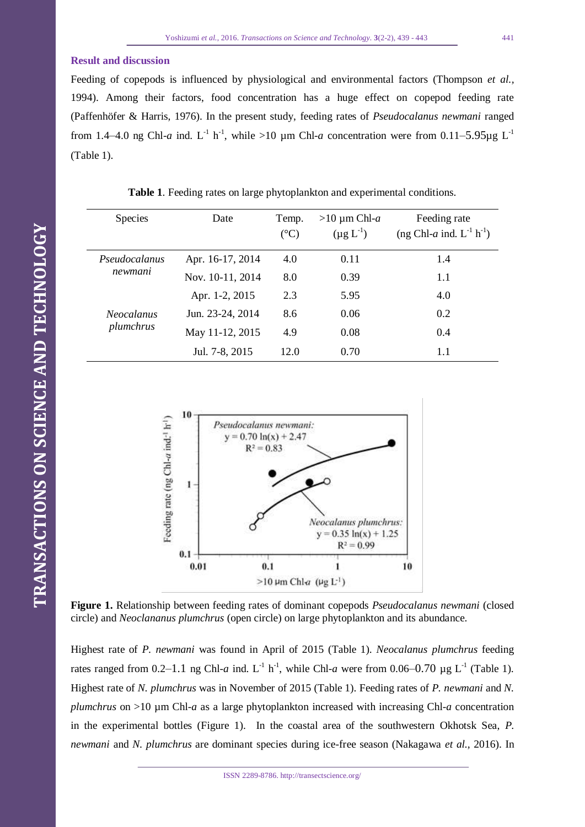#### **Result and discussion**

Feeding of copepods is influenced by physiological and environmental factors (Thompson *et al.,*  1994). Among their factors, food concentration has a huge effect on copepod feeding rate (Paffenhöfer & Harris, 1976). In the present study, feeding rates of *Pseudocalanus newmani* ranged from 1.4–4.0 ng Chl-*a* ind. L<sup>-1</sup> h<sup>-1</sup>, while >10 µm Chl-*a* concentration were from 0.11–5.95µg L<sup>-1</sup> (Table 1).

| <b>Species</b>    | Date             | Temp.         | $>10 \mu m$ Chl-a | Feeding rate                              |
|-------------------|------------------|---------------|-------------------|-------------------------------------------|
|                   |                  | $(^{\circ}C)$ | $(\mu g L^{-1})$  | (ng Chl-a ind. $L^{-1}$ h <sup>-1</sup> ) |
| Pseudocalanus     | Apr. 16-17, 2014 | 4.0           | 0.11              | 1.4                                       |
| newmani           | Nov. 10-11, 2014 | 8.0           | 0.39              | 1.1                                       |
|                   | Apr. 1-2, 2015   | 2.3           | 5.95              | 4.0                                       |
| <b>Neocalanus</b> | Jun. 23-24, 2014 | 8.6           | 0.06              | 0.2                                       |
| plumchrus         | May 11-12, 2015  | 4.9           | 0.08              | 0.4                                       |
|                   | Jul. 7-8, 2015   | 12.0          | 0.70              | 1.1                                       |

| Table 1. Feeding rates on large phytoplankton and experimental conditions. |  |  |  |
|----------------------------------------------------------------------------|--|--|--|
|----------------------------------------------------------------------------|--|--|--|



**Figure 1.** Relationship between feeding rates of dominant copepods *Pseudocalanus newmani* (closed circle) and *Neoclananus plumchrus* (open circle) on large phytoplankton and its abundance.

Highest rate of *P. newmani* was found in April of 2015 (Table 1). *Neocalanus plumchrus* feeding rates ranged from  $0.2-1.1$  ng Chl-*a* ind. L<sup>-1</sup> h<sup>-1</sup>, while Chl-*a* were from  $0.06-0.70$  µg L<sup>-1</sup> (Table 1). Highest rate of *N. plumchrus* was in November of 2015 (Table 1). Feeding rates of *P. newmani* and *N. plumchrus* on >10 µm Chl-*a* as a large phytoplankton increased with increasing Chl-*a* concentration in the experimental bottles (Figure 1). In the coastal area of the southwestern Okhotsk Sea, *P. newmani* and *N. plumchrus* are dominant species during ice-free season (Nakagawa *et al.,* 2016). In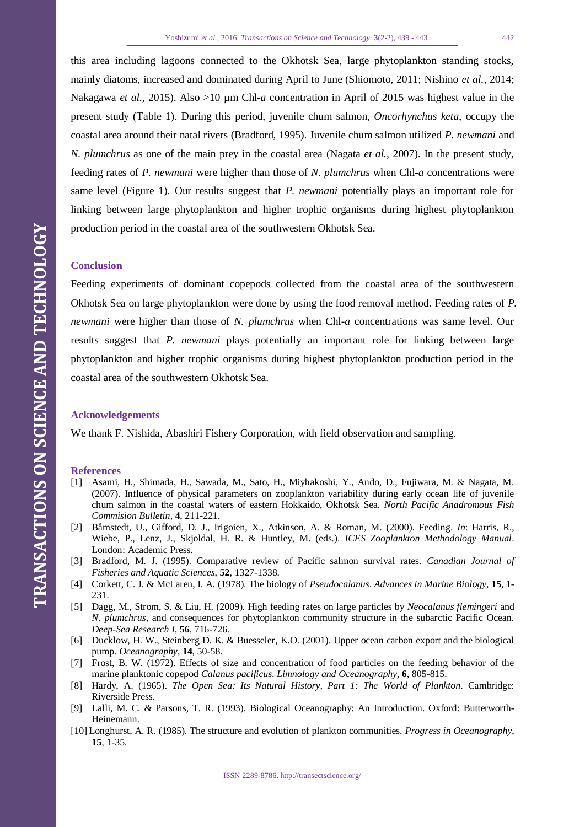this area including lagoons connected to the Okhotsk Sea, large phytoplankton standing stocks, mainly diatoms, increased and dominated during April to June (Shiomoto, 2011; Nishino *et al.,* 2014; Nakagawa *et al.,* 2015). Also >10 µm Chl-*a* concentration in April of 2015 was highest value in the present study (Table 1). During this period, juvenile chum salmon, *Oncorhynchus keta*, occupy the coastal area around their natal rivers (Bradford, 1995). Juvenile chum salmon utilized *P. newmani* and *N. plumchrus* as one of the main prey in the coastal area (Nagata *et al.,* 2007). In the present study, feeding rates of *P. newmani* were higher than those of *N. plumchrus* when Chl-*a* concentrations were same level (Figure 1). Our results suggest that *P. newmani* potentially plays an important role for linking between large phytoplankton and higher trophic organisms during highest phytoplankton production period in the coastal area of the southwestern Okhotsk Sea.

## **Conclusion**

Feeding experiments of dominant copepods collected from the coastal area of the southwestern Okhotsk Sea on large phytoplankton were done by using the food removal method. Feeding rates of *P. newmani* were higher than those of *N. plumchrus* when Chl-*a* concentrations was same level. Our results suggest that *P. newmani* plays potentially an important role for linking between large phytoplankton and higher trophic organisms during highest phytoplankton production period in the coastal area of the southwestern Okhotsk Sea.

## **Acknowledgements**

We thank F. Nishida, Abashiri Fishery Corporation, with field observation and sampling.

#### **References**

- [1] Asami, H., Shimada, H., Sawada, M., Sato, H., Miyhakoshi, Y., Ando, D., Fujiwara, M. & Nagata, M. (2007). Influence of physical parameters on zooplankton variability during early ocean life of juvenile chum salmon in the coastal waters of eastern Hokkaido, Okhotsk Sea. *North Pacific Anadromous Fish Commision Bulletin*, **4**, 211-221.
- [2] Båmstedt, U., Gifford, D. J., Irigoien, X., Atkinson, A. & Roman, M. (2000). Feeding. *In*: Harris, R., Wiebe, P., Lenz, J., Skjoldal, H. R. & Huntley, M. (eds.). *ICES Zooplankton Methodology Manual*. London: Academic Press.
- [3] Bradford, M. J. (1995). Comparative review of Pacific salmon survival rates. *Canadian Journal of Fisheries and Aquatic Sciences*, **52**, 1327-1338.
- [4] Corkett, C. J. & McLaren, I. A. (1978). The biology of *Pseudocalanus*. *Advances in Marine Biology*, **15**, 1- 231.
- [5] Dagg, M., Strom, S. & Liu, H. (2009). High feeding rates on large particles by *Neocalanus flemingeri* and *N. plumchrus*, and consequences for phytoplankton community structure in the subarctic Pacific Ocean. *Deep-Sea Research I*, **56**, 716-726.
- [6] Ducklow, H. W., Steinberg D. K. & Buesseler, K.O. (2001). Upper ocean carbon export and the biological pump. *Oceanography*, **14**, 50-58.
- [7] Frost, B. W. (1972). Effects of size and concentration of food particles on the feeding behavior of the marine planktonic copepod *Calanus pacificus*. *Limnology and Oceanography*, **6**, 805-815.
- [8] Hardy, A. (1965). *The Open Sea: Its Natural History, Part 1: The World of Plankton*. Cambridge: Riverside Press.
- [9] Lalli, M. C. & Parsons, T. R. (1993). Biological Oceanography: An Introduction. Oxford: Butterworth-Heinemann.
- [10] Longhurst, A. R. (1985). The structure and evolution of plankton communities. *Progress in Oceanography*, **15**, 1-35.